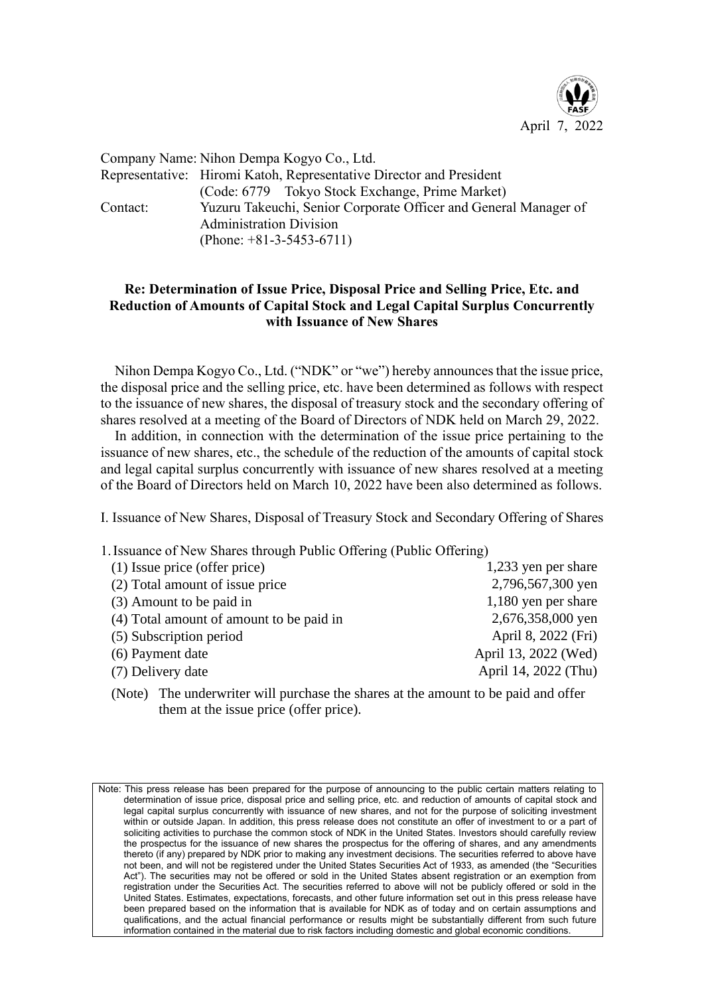

Company Name: Nihon Dempa Kogyo Co., Ltd. Representative: Hiromi Katoh, Representative Director and President (Code: 6779 Tokyo Stock Exchange, Prime Market) Contact: Yuzuru Takeuchi, Senior Corporate Officer and General Manager of Administration Division (Phone: +81-3-5453-6711)

## **Re: Determination of Issue Price, Disposal Price and Selling Price, Etc. and Reduction of Amounts of Capital Stock and Legal Capital Surplus Concurrently with Issuance of New Shares**

Nihon Dempa Kogyo Co., Ltd. ("NDK" or "we") hereby announces that the issue price, the disposal price and the selling price, etc. have been determined as follows with respect to the issuance of new shares, the disposal of treasury stock and the secondary offering of shares resolved at a meeting of the Board of Directors of NDK held on March 29, 2022.

In addition, in connection with the determination of the issue price pertaining to the issuance of new shares, etc., the schedule of the reduction of the amounts of capital stock and legal capital surplus concurrently with issuance of new shares resolved at a meeting of the Board of Directors held on March 10, 2022 have been also determined as follows.

I. Issuance of New Shares, Disposal of Treasury Stock and Secondary Offering of Shares

1.Issuance of New Shares through Public Offering (Public Offering)

| (1) Issue price (offer price)            | 1,233 yen per share  |
|------------------------------------------|----------------------|
| (2) Total amount of issue price          | 2,796,567,300 yen    |
| (3) Amount to be paid in                 | 1,180 yen per share  |
| (4) Total amount of amount to be paid in | 2,676,358,000 yen    |
| (5) Subscription period                  | April 8, 2022 (Fri)  |
| (6) Payment date                         | April 13, 2022 (Wed) |
| (7) Delivery date                        | April 14, 2022 (Thu) |
|                                          |                      |

(Note) The underwriter will purchase the shares at the amount to be paid and offer them at the issue price (offer price).

Note: This press release has been prepared for the purpose of announcing to the public certain matters relating to determination of issue price, disposal price and selling price, etc. and reduction of amounts of capital stock and legal capital surplus concurrently with issuance of new shares, and not for the purpose of soliciting investment within or outside Japan. In addition, this press release does not constitute an offer of investment to or a part of soliciting activities to purchase the common stock of NDK in the United States. Investors should carefully review the prospectus for the issuance of new shares the prospectus for the offering of shares, and any amendments thereto (if any) prepared by NDK prior to making any investment decisions. The securities referred to above have not been, and will not be registered under the United States Securities Act of 1933, as amended (the "Securities Act"). The securities may not be offered or sold in the United States absent registration or an exemption from registration under the Securities Act. The securities referred to above will not be publicly offered or sold in the United States. Estimates, expectations, forecasts, and other future information set out in this press release have been prepared based on the information that is available for NDK as of today and on certain assumptions and qualifications, and the actual financial performance or results might be substantially different from such future information contained in the material due to risk factors including domestic and global economic conditions.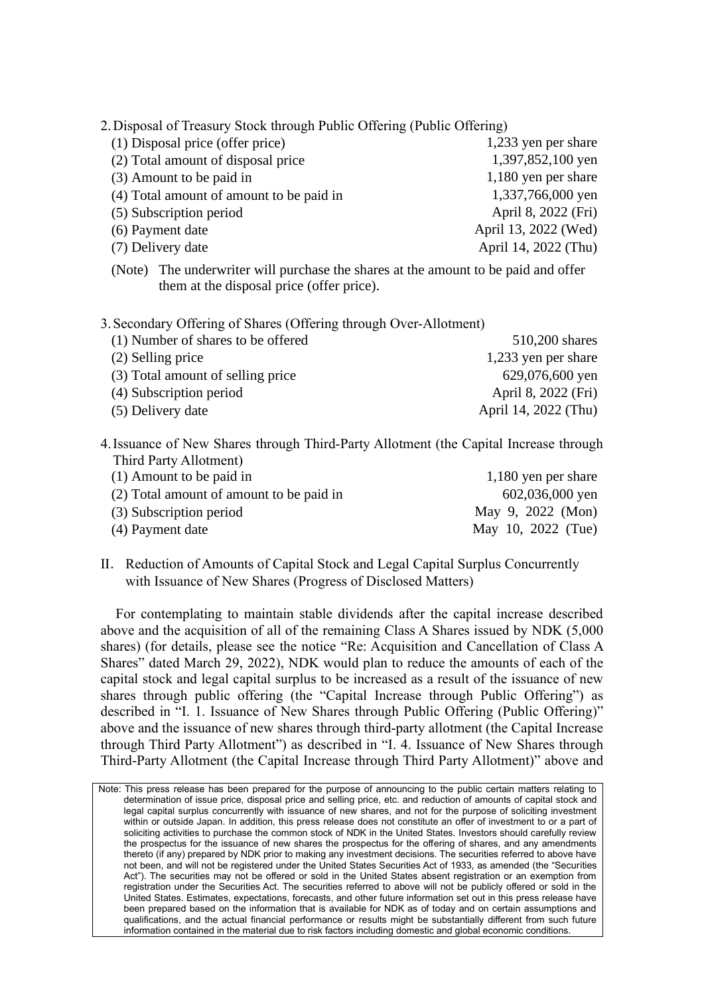2.Disposal of Treasury Stock through Public Offering (Public Offering)

| (1) Disposal price (offer price)         | 1,233 yen per share  |
|------------------------------------------|----------------------|
| (2) Total amount of disposal price       | 1,397,852,100 yen    |
| (3) Amount to be paid in                 | 1,180 yen per share  |
| (4) Total amount of amount to be paid in | 1,337,766,000 yen    |
| (5) Subscription period                  | April 8, 2022 (Fri)  |
| (6) Payment date                         | April 13, 2022 (Wed) |
| (7) Delivery date                        | April 14, 2022 (Thu) |
|                                          |                      |

(Note) The underwriter will purchase the shares at the amount to be paid and offer them at the disposal price (offer price).

3.Secondary Offering of Shares (Offering through Over-Allotment)

| 510,200 shares       |
|----------------------|
| 1,233 yen per share  |
| 629,076,600 yen      |
| April 8, 2022 (Fri)  |
| April 14, 2022 (Thu) |
|                      |

4.Issuance of New Shares through Third-Party Allotment (the Capital Increase through Third Party Allotment)

| $(1)$ Amount to be paid in               | 1,180 yen per share |
|------------------------------------------|---------------------|
| (2) Total amount of amount to be paid in | 602,036,000 yen     |
| (3) Subscription period                  | May 9, 2022 (Mon)   |
| (4) Payment date                         | May 10, 2022 (Tue)  |

Ⅱ.Reduction of Amounts of Capital Stock and Legal Capital Surplus Concurrently with Issuance of New Shares (Progress of Disclosed Matters)

For contemplating to maintain stable dividends after the capital increase described above and the acquisition of all of the remaining Class A Shares issued by NDK (5,000 shares) (for details, please see the notice "Re: Acquisition and Cancellation of Class A Shares" dated March 29, 2022), NDK would plan to reduce the amounts of each of the capital stock and legal capital surplus to be increased as a result of the issuance of new shares through public offering (the "Capital Increase through Public Offering") as described in "I. 1. Issuance of New Shares through Public Offering (Public Offering)" above and the issuance of new shares through third-party allotment (the Capital Increase through Third Party Allotment") as described in "I. 4. Issuance of New Shares through Third-Party Allotment (the Capital Increase through Third Party Allotment)" above and

Note: This press release has been prepared for the purpose of announcing to the public certain matters relating to determination of issue price, disposal price and selling price, etc. and reduction of amounts of capital stock and legal capital surplus concurrently with issuance of new shares, and not for the purpose of soliciting investment within or outside Japan. In addition, this press release does not constitute an offer of investment to or a part of soliciting activities to purchase the common stock of NDK in the United States. Investors should carefully review the prospectus for the issuance of new shares the prospectus for the offering of shares, and any amendments thereto (if any) prepared by NDK prior to making any investment decisions. The securities referred to above have not been, and will not be registered under the United States Securities Act of 1933, as amended (the "Securities Act"). The securities may not be offered or sold in the United States absent registration or an exemption from registration under the Securities Act. The securities referred to above will not be publicly offered or sold in the United States. Estimates, expectations, forecasts, and other future information set out in this press release have been prepared based on the information that is available for NDK as of today and on certain assumptions and qualifications, and the actual financial performance or results might be substantially different from such future information contained in the material due to risk factors including domestic and global economic conditions.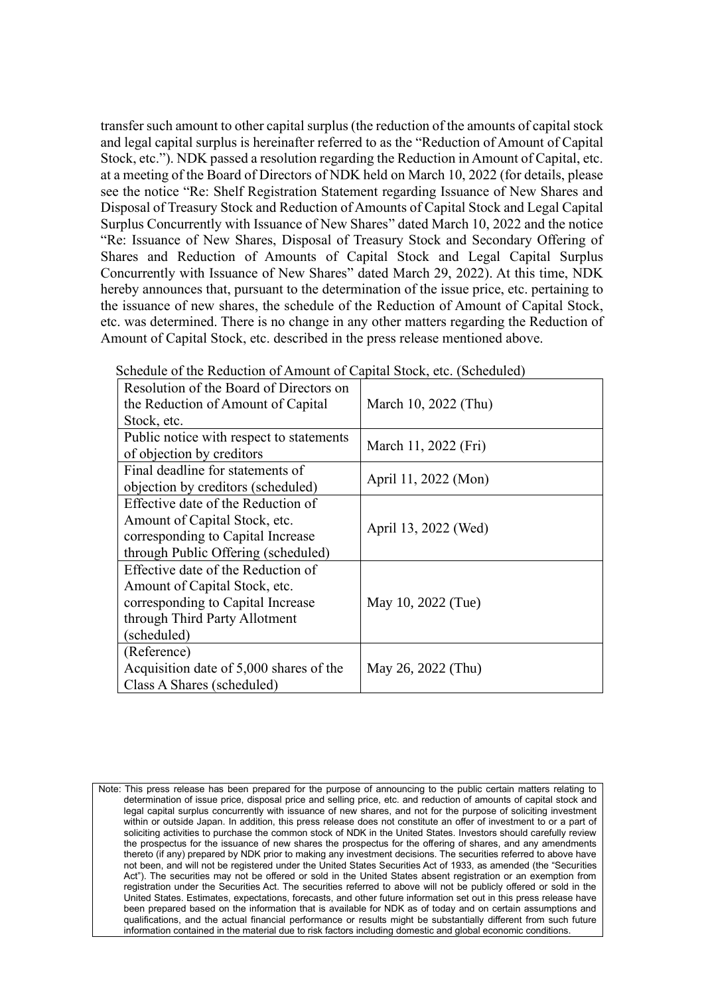transfer such amount to other capital surplus (the reduction of the amounts of capital stock and legal capital surplus is hereinafter referred to as the "Reduction of Amount of Capital Stock, etc."). NDK passed a resolution regarding the Reduction in Amount of Capital, etc. at a meeting of the Board of Directors of NDK held on March 10, 2022 (for details, please see the notice "Re: Shelf Registration Statement regarding Issuance of New Shares and Disposal of Treasury Stock and Reduction of Amounts of Capital Stock and Legal Capital Surplus Concurrently with Issuance of New Shares" dated March 10, 2022 and the notice "Re: Issuance of New Shares, Disposal of Treasury Stock and Secondary Offering of Shares and Reduction of Amounts of Capital Stock and Legal Capital Surplus Concurrently with Issuance of New Shares" dated March 29, 2022). At this time, NDK hereby announces that, pursuant to the determination of the issue price, etc. pertaining to the issuance of new shares, the schedule of the Reduction of Amount of Capital Stock, etc. was determined. There is no change in any other matters regarding the Reduction of Amount of Capital Stock, etc. described in the press release mentioned above.

| Resolution of the Board of Directors on  |                      |  |
|------------------------------------------|----------------------|--|
| the Reduction of Amount of Capital       | March 10, 2022 (Thu) |  |
| Stock, etc.                              |                      |  |
| Public notice with respect to statements | March 11, 2022 (Fri) |  |
| of objection by creditors                |                      |  |
| Final deadline for statements of         |                      |  |
| objection by creditors (scheduled)       | April 11, 2022 (Mon) |  |
| Effective date of the Reduction of       |                      |  |
| Amount of Capital Stock, etc.            |                      |  |
| corresponding to Capital Increase        | April 13, 2022 (Wed) |  |
| through Public Offering (scheduled)      |                      |  |
| Effective date of the Reduction of       |                      |  |
| Amount of Capital Stock, etc.            |                      |  |
| corresponding to Capital Increase        | May 10, 2022 (Tue)   |  |
| through Third Party Allotment            |                      |  |
| (scheduled)                              |                      |  |
| (Reference)                              |                      |  |
| Acquisition date of 5,000 shares of the  | May 26, 2022 (Thu)   |  |
| Class A Shares (scheduled)               |                      |  |

Schedule of the Reduction of Amount of Capital Stock, etc. (Scheduled)

Note: This press release has been prepared for the purpose of announcing to the public certain matters relating to determination of issue price, disposal price and selling price, etc. and reduction of amounts of capital stock and legal capital surplus concurrently with issuance of new shares, and not for the purpose of soliciting investment within or outside Japan. In addition, this press release does not constitute an offer of investment to or a part of soliciting activities to purchase the common stock of NDK in the United States. Investors should carefully review the prospectus for the issuance of new shares the prospectus for the offering of shares, and any amendments thereto (if any) prepared by NDK prior to making any investment decisions. The securities referred to above have not been, and will not be registered under the United States Securities Act of 1933, as amended (the "Securities Act"). The securities may not be offered or sold in the United States absent registration or an exemption from registration under the Securities Act. The securities referred to above will not be publicly offered or sold in the United States. Estimates, expectations, forecasts, and other future information set out in this press release have been prepared based on the information that is available for NDK as of today and on certain assumptions and qualifications, and the actual financial performance or results might be substantially different from such future information contained in the material due to risk factors including domestic and global economic conditions.